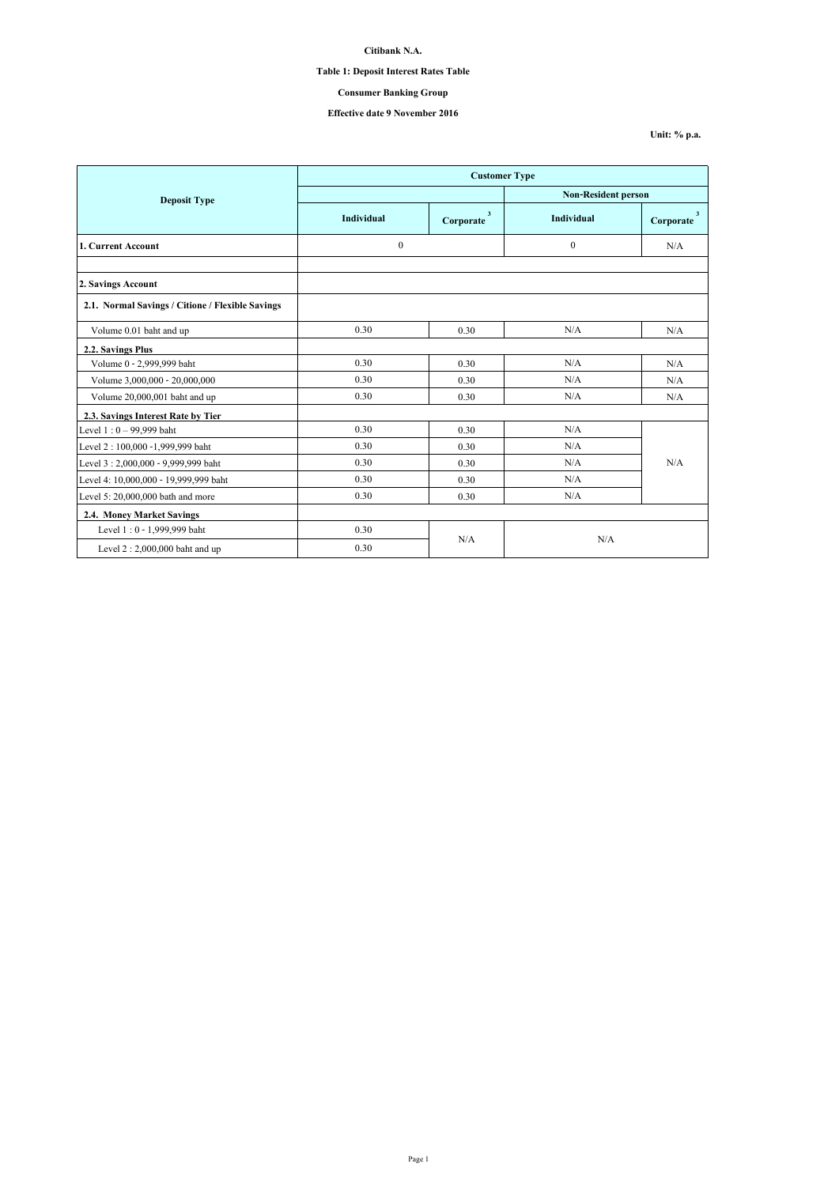## **Table 1: Deposit Interest Rates Table**

## **Consumer Banking Group**

## **Effective date 9 November 2016**

**Unit: % p.a.**

|                                                  | <b>Customer Type</b>         |                           |                            |                |  |
|--------------------------------------------------|------------------------------|---------------------------|----------------------------|----------------|--|
| <b>Deposit Type</b>                              |                              |                           | <b>Non-Resident person</b> |                |  |
|                                                  | <b>Individual</b>            | $\mathbf{3}$<br>Corporate | Individual                 | 3<br>Corporate |  |
| 1. Current Account                               | $\boldsymbol{0}$<br>$\theta$ |                           |                            | N/A            |  |
|                                                  |                              |                           |                            |                |  |
| 2. Savings Account                               |                              |                           |                            |                |  |
| 2.1. Normal Savings / Citione / Flexible Savings |                              |                           |                            |                |  |
| Volume 0.01 baht and up                          | 0.30                         | 0.30                      | N/A                        | N/A            |  |
| 2.2. Savings Plus                                |                              |                           |                            |                |  |
| Volume 0 - 2,999,999 baht                        | 0.30                         | 0.30                      | N/A                        | N/A            |  |
| Volume 3,000,000 - 20,000,000                    | 0.30                         | 0.30                      | N/A                        | N/A            |  |
| Volume 20,000,001 baht and up                    | 0.30                         | 0.30                      | N/A                        | N/A            |  |
| 2.3. Savings Interest Rate by Tier               |                              |                           |                            |                |  |
| Level $1:0 - 99,999$ baht                        | 0.30                         | 0.30                      | N/A                        |                |  |
| Level 2: 100,000 -1,999,999 baht                 | 0.30                         | 0.30                      | N/A                        |                |  |
| Level 3: 2,000,000 - 9,999,999 baht              | 0.30                         | 0.30                      | N/A                        | N/A            |  |
| Level 4: 10,000,000 - 19,999,999 baht            | 0.30                         | 0.30                      | N/A                        |                |  |
| Level 5: 20,000,000 bath and more                | 0.30                         | 0.30                      | N/A                        |                |  |
| 2.4. Money Market Savings                        |                              |                           |                            |                |  |
| Level 1:0 - 1,999,999 baht                       | 0.30                         | N/A                       |                            |                |  |
| Level $2:2,000,000$ baht and up                  | 0.30                         | N/A                       |                            |                |  |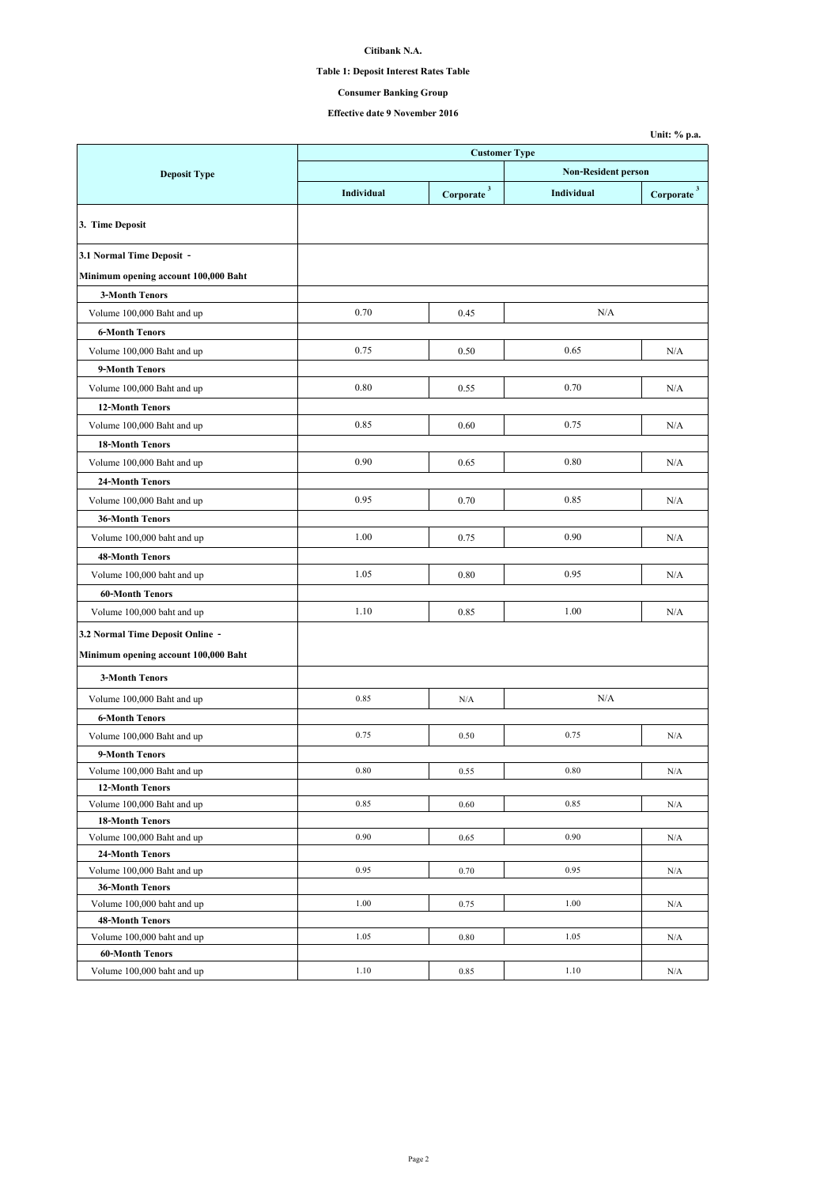## **Table 1: Deposit Interest Rates Table**

## **Consumer Banking Group**

|                                                      |                      |                                                        |                            | Unit: % p.a.                      |  |
|------------------------------------------------------|----------------------|--------------------------------------------------------|----------------------------|-----------------------------------|--|
|                                                      | <b>Customer Type</b> |                                                        |                            |                                   |  |
| <b>Deposit Type</b>                                  |                      |                                                        | <b>Non-Resident person</b> |                                   |  |
|                                                      | Individual           | $\label{eq:corporate} \textbf{Corporate} \, \text{^3}$ | Individual                 | $\textbf{Corporate} \text{ }^{3}$ |  |
| 3. Time Deposit                                      |                      |                                                        |                            |                                   |  |
| 3.1 Normal Time Deposit -                            |                      |                                                        |                            |                                   |  |
| Minimum opening account 100,000 Baht                 |                      |                                                        |                            |                                   |  |
| <b>3-Month Tenors</b>                                |                      |                                                        |                            |                                   |  |
| Volume 100,000 Baht and up                           | 0.70                 | 0.45                                                   | N/A                        |                                   |  |
| <b>6-Month Tenors</b>                                |                      |                                                        |                            |                                   |  |
| Volume 100,000 Baht and up                           | 0.75                 | 0.50                                                   | 0.65                       | N/A                               |  |
| 9-Month Tenors                                       |                      |                                                        |                            |                                   |  |
| Volume 100,000 Baht and up                           | 0.80                 | 0.55                                                   | 0.70                       | N/A                               |  |
| <b>12-Month Tenors</b>                               |                      |                                                        |                            |                                   |  |
| Volume 100,000 Baht and up                           | 0.85                 | 0.60                                                   | 0.75                       | N/A                               |  |
|                                                      |                      |                                                        |                            |                                   |  |
| <b>18-Month Tenors</b>                               |                      |                                                        |                            |                                   |  |
| Volume 100,000 Baht and up                           | 0.90                 | 0.65                                                   | 0.80                       | N/A                               |  |
| 24-Month Tenors                                      |                      |                                                        |                            |                                   |  |
| Volume 100,000 Baht and up                           | 0.95                 | 0.70                                                   | 0.85                       | N/A                               |  |
| <b>36-Month Tenors</b>                               |                      |                                                        |                            |                                   |  |
| Volume 100,000 baht and up                           | 1.00                 | 0.75                                                   | 0.90                       | N/A                               |  |
| <b>48-Month Tenors</b>                               |                      |                                                        |                            |                                   |  |
| Volume 100,000 baht and up                           | 1.05                 | 0.80                                                   | 0.95                       | N/A                               |  |
| <b>60-Month Tenors</b>                               |                      |                                                        |                            |                                   |  |
| Volume 100,000 baht and up                           | 1.10                 | 0.85                                                   | 1.00                       | N/A                               |  |
| 3.2 Normal Time Deposit Online -                     |                      |                                                        |                            |                                   |  |
| Minimum opening account 100,000 Baht                 |                      |                                                        |                            |                                   |  |
| <b>3-Month Tenors</b>                                |                      |                                                        |                            |                                   |  |
|                                                      | 0.85                 | N/A                                                    | N/A                        |                                   |  |
| Volume 100,000 Baht and up                           |                      |                                                        |                            |                                   |  |
| <b>6-Month Tenors</b>                                |                      |                                                        |                            |                                   |  |
| Volume 100,000 Baht and up                           | 0.75                 | 0.50                                                   | 0.75                       | N/A                               |  |
| 9-Month Tenors                                       | 0.80                 |                                                        | 0.80                       |                                   |  |
| Volume 100,000 Baht and up<br><b>12-Month Tenors</b> |                      | 0.55                                                   |                            | N/A                               |  |
| Volume 100,000 Baht and up                           | 0.85                 | 0.60                                                   | 0.85                       | N/A                               |  |
| <b>18-Month Tenors</b>                               |                      |                                                        |                            |                                   |  |
| Volume 100,000 Baht and up                           | 0.90                 | 0.65                                                   | 0.90                       | N/A                               |  |
| 24-Month Tenors                                      |                      |                                                        |                            |                                   |  |
| Volume 100,000 Baht and up                           | 0.95                 | 0.70                                                   | 0.95                       | N/A                               |  |
| <b>36-Month Tenors</b>                               |                      |                                                        |                            |                                   |  |
| Volume 100,000 baht and up                           | 1.00                 | 0.75                                                   | 1.00                       | N/A                               |  |
| <b>48-Month Tenors</b>                               |                      |                                                        |                            |                                   |  |
| Volume 100,000 baht and up                           | 1.05                 | 0.80                                                   | 1.05                       | N/A                               |  |
| <b>60-Month Tenors</b>                               |                      |                                                        |                            |                                   |  |
| Volume 100,000 baht and up                           | 1.10                 | 0.85                                                   | 1.10                       | N/A                               |  |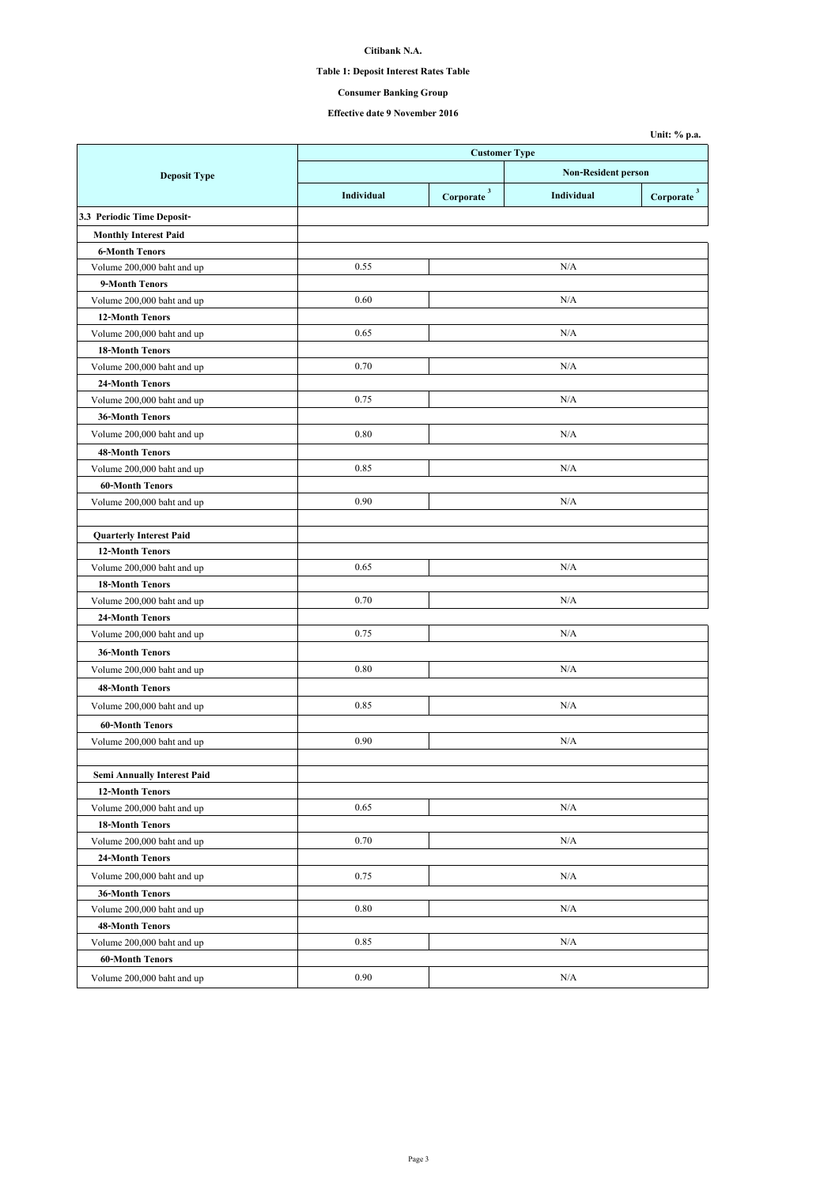## **Table 1: Deposit Interest Rates Table**

**Consumer Banking Group**

|                                |            |                          |                            | Unit: % p.a.                  |
|--------------------------------|------------|--------------------------|----------------------------|-------------------------------|
|                                |            | <b>Customer Type</b>     |                            |                               |
| <b>Deposit Type</b>            |            |                          | <b>Non-Resident person</b> |                               |
|                                | Individual | $Corporate$ <sup>3</sup> | Individual                 | $\bf{Corporate}$ <sup>3</sup> |
| 3.3 Periodic Time Deposit-     |            |                          |                            |                               |
| <b>Monthly Interest Paid</b>   |            |                          |                            |                               |
| <b>6-Month Tenors</b>          |            |                          |                            |                               |
| Volume 200,000 baht and up     | 0.55       |                          | N/A                        |                               |
| 9-Month Tenors                 |            |                          |                            |                               |
| Volume 200,000 baht and up     | 0.60       |                          | N/A                        |                               |
| <b>12-Month Tenors</b>         |            |                          |                            |                               |
| Volume 200,000 baht and up     | 0.65       |                          | N/A                        |                               |
| <b>18-Month Tenors</b>         |            |                          |                            |                               |
| Volume 200,000 baht and up     | 0.70       |                          | N/A                        |                               |
| 24-Month Tenors                |            |                          |                            |                               |
| Volume 200,000 baht and up     | 0.75       |                          | N/A                        |                               |
| <b>36-Month Tenors</b>         |            |                          |                            |                               |
| Volume 200,000 baht and up     | 0.80       |                          | N/A                        |                               |
| <b>48-Month Tenors</b>         |            |                          |                            |                               |
| Volume 200,000 baht and up     | 0.85       |                          | N/A                        |                               |
| <b>60-Month Tenors</b>         |            |                          |                            |                               |
| Volume 200,000 baht and up     | 0.90       |                          | N/A                        |                               |
|                                |            |                          |                            |                               |
| <b>Quarterly Interest Paid</b> |            |                          |                            |                               |
| 12-Month Tenors                |            |                          |                            |                               |
| Volume 200,000 baht and up     | 0.65       |                          | N/A                        |                               |
| <b>18-Month Tenors</b>         |            |                          |                            |                               |
| Volume 200,000 baht and up     | 0.70       |                          | N/A                        |                               |
| 24-Month Tenors                |            |                          |                            |                               |
| Volume 200,000 baht and up     | 0.75       |                          | N/A                        |                               |
| 36-Month Tenors                |            |                          |                            |                               |
| Volume 200,000 baht and up     | 0.80       |                          | N/A                        |                               |
| <b>48-Month Tenors</b>         |            |                          |                            |                               |
|                                |            |                          |                            |                               |
| Volume 200,000 baht and up     | 0.85       |                          | N/A                        |                               |
| <b>60-Month Tenors</b>         |            |                          |                            |                               |
| Volume 200,000 baht and up     | 0.90       |                          | N/A                        |                               |
|                                |            |                          |                            |                               |
| Semi Annually Interest Paid    |            |                          |                            |                               |
| <b>12-Month Tenors</b>         |            |                          |                            |                               |
| Volume 200,000 baht and up     | 0.65       |                          | N/A                        |                               |
| <b>18-Month Tenors</b>         |            |                          |                            |                               |
| Volume 200,000 baht and up     | 0.70       |                          | N/A                        |                               |
| 24-Month Tenors                |            |                          |                            |                               |
| Volume 200,000 baht and up     | 0.75       |                          | N/A                        |                               |
| 36-Month Tenors                |            |                          |                            |                               |
| Volume 200,000 baht and up     | 0.80       |                          | N/A                        |                               |
| <b>48-Month Tenors</b>         |            |                          |                            |                               |
| Volume 200,000 baht and up     | 0.85       |                          | N/A                        |                               |
| 60-Month Tenors                |            |                          |                            |                               |
| Volume 200,000 baht and up     | 0.90       |                          | N/A                        |                               |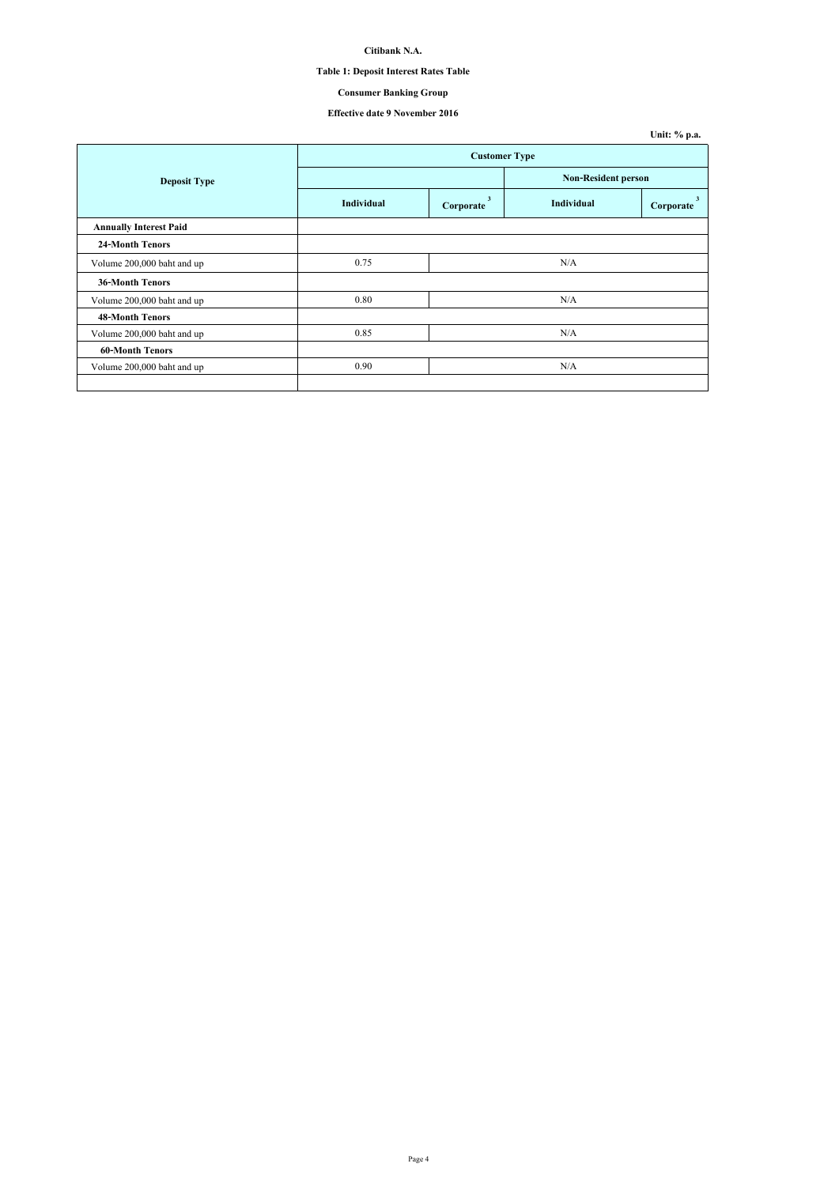## **Table 1: Deposit Interest Rates Table**

## **Consumer Banking Group**

|                               |                      |                |                            | Unit: % p.a.   |  |
|-------------------------------|----------------------|----------------|----------------------------|----------------|--|
|                               | <b>Customer Type</b> |                |                            |                |  |
| <b>Deposit Type</b>           |                      |                | <b>Non-Resident person</b> |                |  |
|                               | Individual           | 3<br>Corporate | Individual                 | 3<br>Corporate |  |
| <b>Annually Interest Paid</b> |                      |                |                            |                |  |
| <b>24-Month Tenors</b>        |                      |                |                            |                |  |
| Volume 200,000 baht and up    | 0.75                 |                | N/A                        |                |  |
| <b>36-Month Tenors</b>        |                      |                |                            |                |  |
| Volume 200,000 baht and up    | 0.80                 |                | N/A                        |                |  |
| <b>48-Month Tenors</b>        |                      |                |                            |                |  |
| Volume 200,000 baht and up    | 0.85                 |                | N/A                        |                |  |
| <b>60-Month Tenors</b>        |                      |                |                            |                |  |
| Volume 200,000 baht and up    | 0.90                 |                | N/A                        |                |  |
|                               |                      |                |                            |                |  |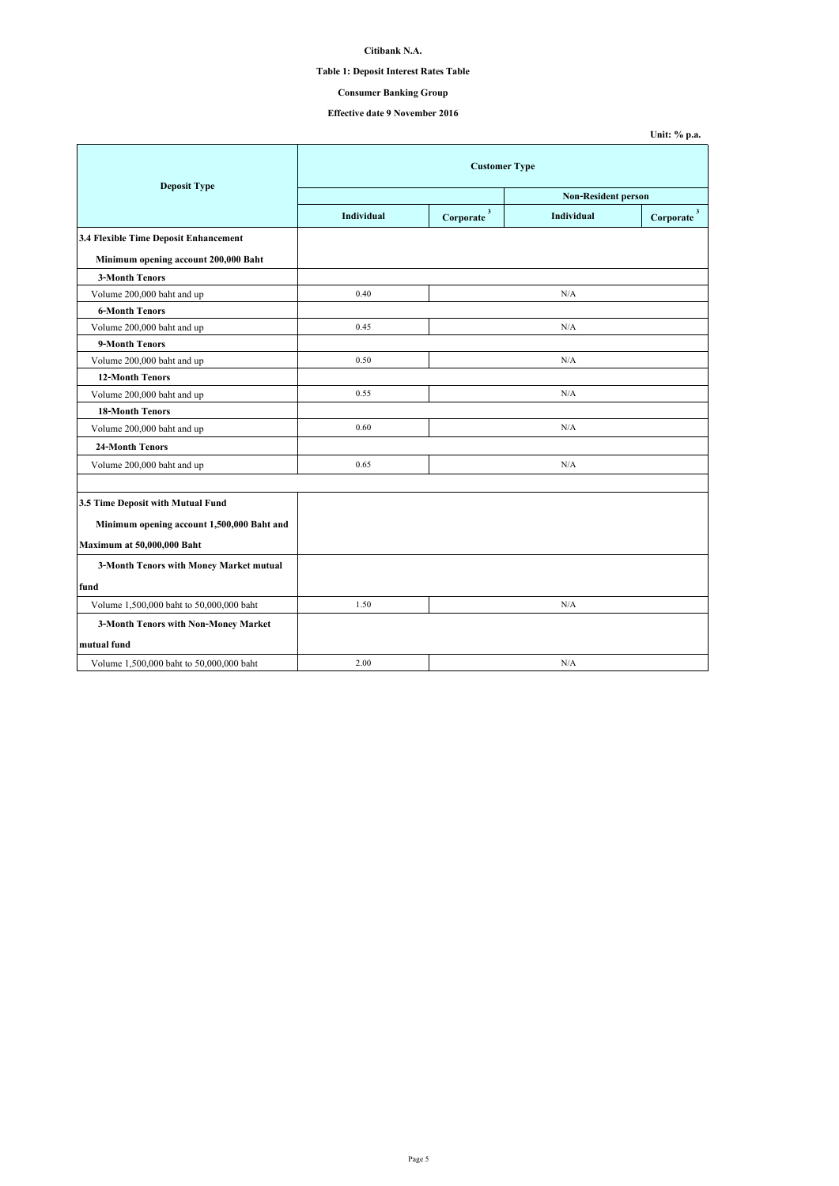## **Table 1: Deposit Interest Rates Table**

## **Consumer Banking Group**

|                                            |                      |                           |                            | Unit: % p.a.                         |  |
|--------------------------------------------|----------------------|---------------------------|----------------------------|--------------------------------------|--|
| <b>Deposit Type</b>                        | <b>Customer Type</b> |                           |                            |                                      |  |
|                                            |                      |                           | <b>Non-Resident person</b> |                                      |  |
|                                            | <b>Individual</b>    | $\mathbf{3}$<br>Corporate | Individual                 | $\overline{\mathbf{3}}$<br>Corporate |  |
| 3.4 Flexible Time Deposit Enhancement      |                      |                           |                            |                                      |  |
| Minimum opening account 200,000 Baht       |                      |                           |                            |                                      |  |
| <b>3-Month Tenors</b>                      |                      |                           |                            |                                      |  |
| Volume 200,000 baht and up                 | 0.40                 |                           | N/A                        |                                      |  |
| <b>6-Month Tenors</b>                      |                      |                           |                            |                                      |  |
| Volume 200,000 baht and up                 | 0.45                 |                           | N/A                        |                                      |  |
| 9-Month Tenors                             |                      |                           |                            |                                      |  |
| Volume 200,000 baht and up                 | 0.50                 |                           | N/A                        |                                      |  |
| <b>12-Month Tenors</b>                     |                      |                           |                            |                                      |  |
| Volume 200,000 baht and up                 | 0.55                 |                           | N/A                        |                                      |  |
| <b>18-Month Tenors</b>                     |                      |                           |                            |                                      |  |
| Volume 200,000 baht and up                 | 0.60                 |                           | N/A                        |                                      |  |
| <b>24-Month Tenors</b>                     |                      |                           |                            |                                      |  |
| Volume 200,000 baht and up                 | 0.65                 |                           | N/A                        |                                      |  |
|                                            |                      |                           |                            |                                      |  |
| 3.5 Time Deposit with Mutual Fund          |                      |                           |                            |                                      |  |
| Minimum opening account 1,500,000 Baht and |                      |                           |                            |                                      |  |
| Maximum at 50,000,000 Baht                 |                      |                           |                            |                                      |  |
| 3-Month Tenors with Money Market mutual    |                      |                           |                            |                                      |  |
| fund                                       |                      |                           |                            |                                      |  |
| Volume 1,500,000 baht to 50,000,000 baht   | 1.50                 |                           | N/A                        |                                      |  |
| 3-Month Tenors with Non-Money Market       |                      |                           |                            |                                      |  |
| mutual fund                                |                      |                           |                            |                                      |  |
| Volume 1,500,000 baht to 50,000,000 baht   | 2.00                 |                           | N/A                        |                                      |  |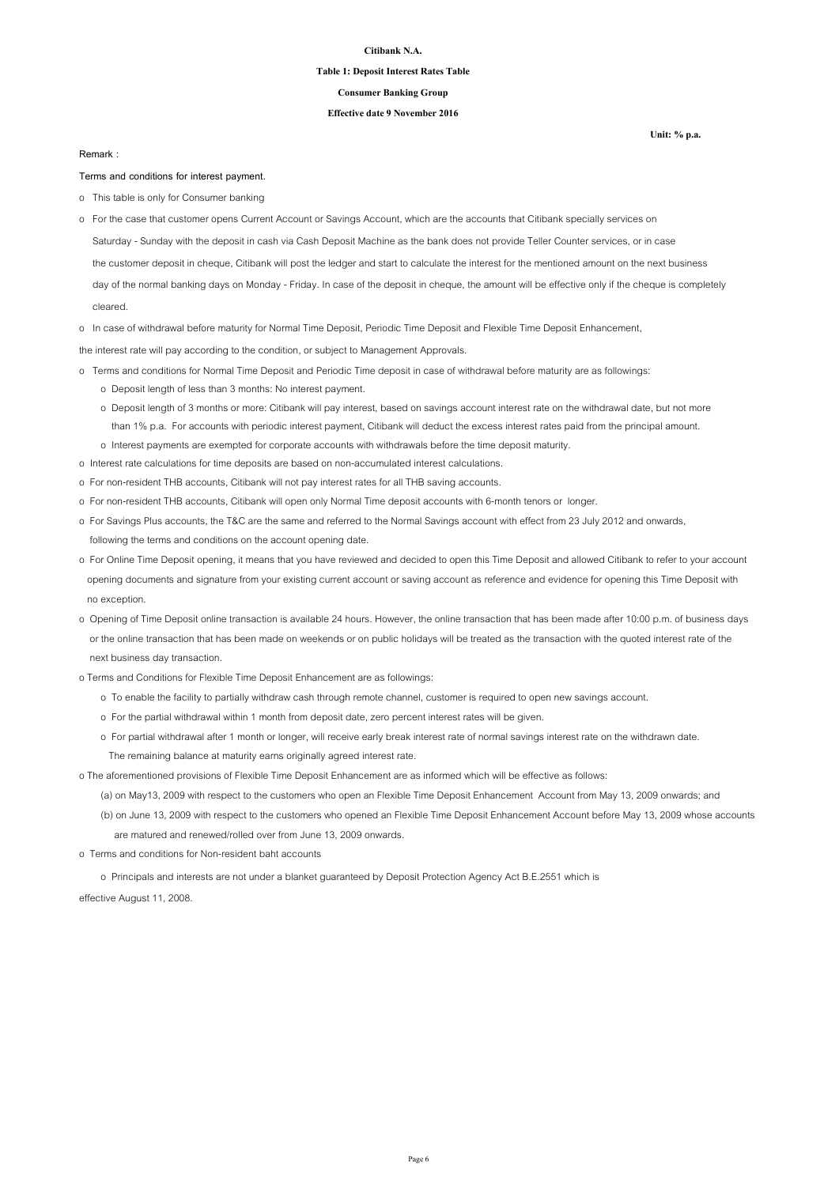### **Table 1: Deposit Interest Rates Table**

### **Consumer Banking Group**

### **Effective date 9 November 2016**

#### **Remark :**

#### **Terms and conditions for interest payment.**

- o This table is only for Consumer banking
- Saturday Sunday with the deposit in cash via Cash Deposit Machine as the bank does not provide Teller Counter services, or in case the customer deposit in cheque, Citibank will post the ledger and start to calculate the interest for the mentioned amount on the next business day of the normal banking days on Monday - Friday. In case of the deposit in cheque, the amount will be effective only if the cheque is completely o For the case that customer opens Current Account or Savings Account, which are the accounts that Citibank specially services on

cleared.

o In case of withdrawal before maturity for Normal Time Deposit, Periodic Time Deposit and Flexible Time Deposit Enhancement,

the interest rate will pay according to the condition, or subject to Management Approvals.

- o Terms and conditions for Normal Time Deposit and Periodic Time deposit in case of withdrawal before maturity are as followings: o Deposit length of less than 3 months: No interest payment.
	- o Deposit length of 3 months or more: Citibank will pay interest, based on savings account interest rate on the withdrawal date, but not more than 1% p.a. For accounts with periodic interest payment, Citibank will deduct the excess interest rates paid from the principal amount. o Interest payments are exempted for corporate accounts with withdrawals before the time deposit maturity.
- o Interest rate calculations for time deposits are based on non-accumulated interest calculations.
- o For non-resident THB accounts, Citibank will not pay interest rates for all THB saving accounts.
- o For non-resident THB accounts, Citibank will open only Normal Time deposit accounts with 6-month tenors or longer.
- o For Savings Plus accounts, the T&C are the same and referred to the Normal Savings account with effect from 23 July 2012 and onwards, following the terms and conditions on the account opening date.
- o For Online Time Deposit opening, it means that you have reviewed and decided to open this Time Deposit and allowed Citibank to refer to your account opening documents and signature from your existing current account or saving account as reference and evidence for opening this Time Deposit with no exception.
- o Opening of Time Deposit online transaction is available 24 hours. However, the online transaction that has been made after 10:00 p.m. of business days or the online transaction that has been made on weekends or on public holidays will be treated as the transaction with the quoted interest rate of the next business day transaction.
- o Terms and Conditions for Flexible Time Deposit Enhancement are as followings:
	- o To enable the facility to partially withdraw cash through remote channel, customer is required to open new savings account.
	- o For the partial withdrawal within 1 month from deposit date, zero percent interest rates will be given.
	- o For partial withdrawal after 1 month or longer, will receive early break interest rate of normal savings interest rate on the withdrawn date. The remaining balance at maturity earns originally agreed interest rate.

o The aforementioned provisions of Flexible Time Deposit Enhancement are as informed which will be effective as follows:

- (a) on May13, 2009 with respect to the customers who open an Flexible Time Deposit Enhancement Account from May 13, 2009 onwards; and
- (b) on June 13, 2009 with respect to the customers who opened an Flexible Time Deposit Enhancement Account before May 13, 2009 whose accounts are matured and renewed/rolled over from June 13, 2009 onwards.
- o Terms and conditions for Non-resident baht accounts

o Principals and interests are not under a blanket guaranteed by Deposit Protection Agency Act B.E.2551 which is

effective August 11, 2008.

Page 6

**Unit: % p.a.**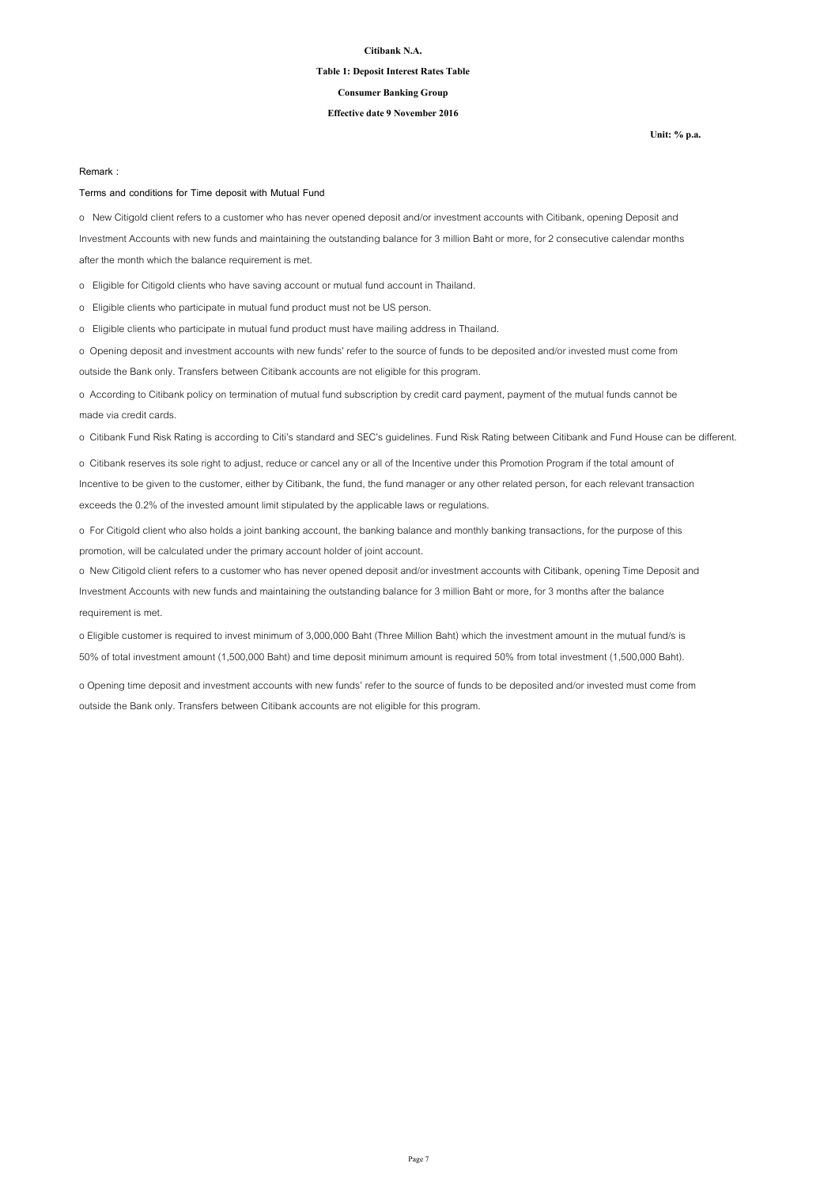### **Table 1: Deposit Interest Rates Table**

### **Consumer Banking Group**

### **Effective date 9 November 2016**

**Unit: % p.a.**

#### **Remark :**

### **Terms and conditions for Time deposit with Mutual Fund**

o New Citigold client refers to a customer who has never opened deposit and/or investment accounts with Citibank, opening Deposit and Investment Accounts with new funds and maintaining the outstanding balance for 3 million Baht or more, for 2 consecutive calendar months after the month which the balance requirement is met.

o Eligible for Citigold clients who have saving account or mutual fund account in Thailand.

o Eligible clients who participate in mutual fund product must not be US person.

o Eligible clients who participate in mutual fund product must have mailing address in Thailand.

o Opening deposit and investment accounts with new funds' refer to the source of funds to be deposited and/or invested must come from outside the Bank only. Transfers between Citibank accounts are not eligible for this program.

o According to Citibank policy on termination of mutual fund subscription by credit card payment, payment of the mutual funds cannot be made via credit cards.

o Citibank Fund Risk Rating is according to Citi's standard and SEC's guidelines. Fund Risk Rating between Citibank and Fund House can be different.

o Citibank reserves its sole right to adjust, reduce or cancel any or all of the Incentive under this Promotion Program if the total amount of Incentive to be given to the customer, either by Citibank, the fund, the fund manager or any other related person, for each relevant transaction exceeds the 0.2% of the invested amount limit stipulated by the applicable laws or regulations.

o For Citigold client who also holds a joint banking account, the banking balance and monthly banking transactions, for the purpose of this promotion, will be calculated under the primary account holder of joint account.

o New Citigold client refers to a customer who has never opened deposit and/or investment accounts with Citibank, opening Time Deposit and Investment Accounts with new funds and maintaining the outstanding balance for 3 million Baht or more, for 3 months after the balance requirement is met.

o Eligible customer is required to invest minimum of 3,000,000 Baht (Three Million Baht) which the investment amount in the mutual fund/s is 50% of total investment amount (1,500,000 Baht) and time deposit minimum amount is required 50% from total investment (1,500,000 Baht).

o Opening time deposit and investment accounts with new funds' refer to the source of funds to be deposited and/or invested must come from outside the Bank only. Transfers between Citibank accounts are not eligible for this program.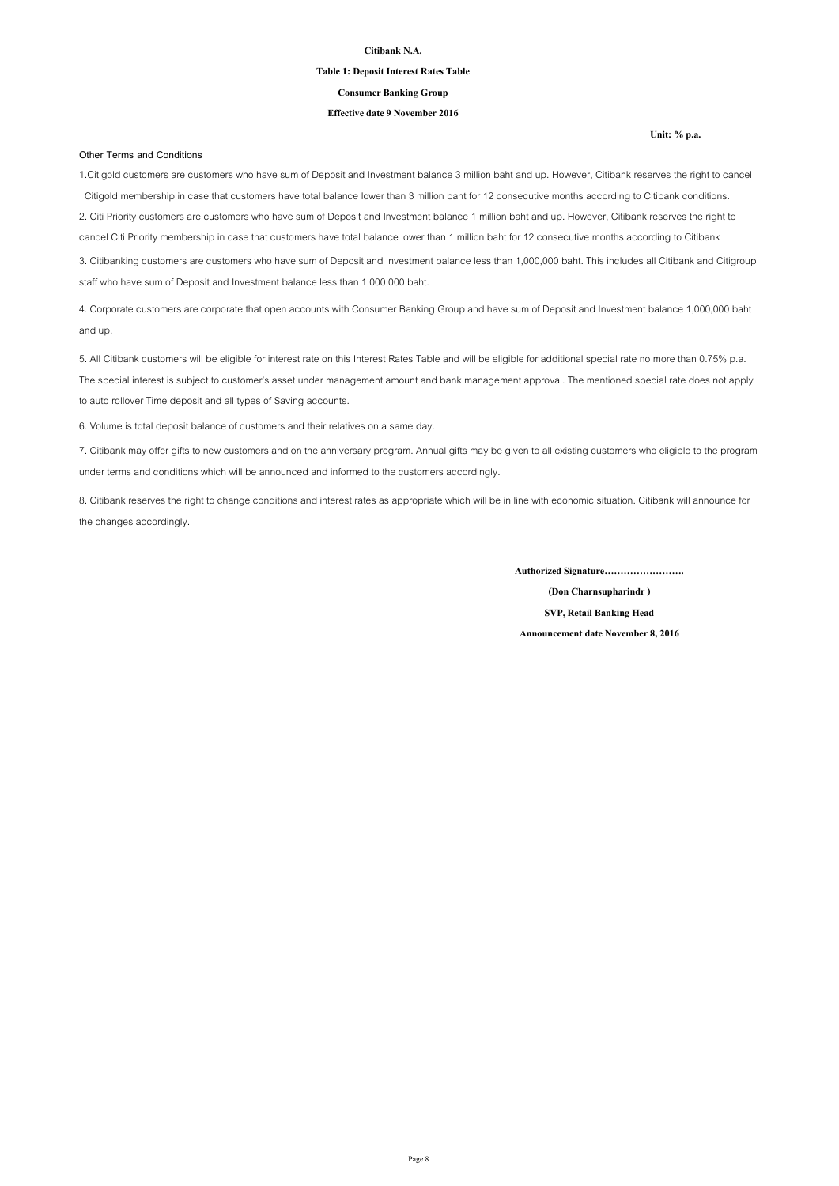### **Table 1: Deposit Interest Rates Table**

**Consumer Banking Group**

### **Effective date 9 November 2016**

#### **Other Terms and Conditions**

**Unit: % p.a.**

1.Citigold customers are customers who have sum of Deposit and Investment balance 3 million baht and up. However, Citibank reserves the right to cancel Citigold membership in case that customers have total balance lower than 3 million baht for 12 consecutive months according to Citibank conditions. 2. Citi Priority customers are customers who have sum of Deposit and Investment balance 1 million baht and up. However, Citibank reserves the right to cancel Citi Priority membership in case that customers have total balance lower than 1 million baht for 12 consecutive months according to Citibank

3. Citibanking customers are customers who have sum of Deposit and Investment balance less than 1,000,000 baht. This includes all Citibank and Citigroup staff who have sum of Deposit and Investment balance less than 1,000,000 baht.

4. Corporate customers are corporate that open accounts with Consumer Banking Group and have sum of Deposit and Investment balance 1,000,000 baht and up.

5. All Citibank customers will be eligible for interest rate on this Interest Rates Table and will be eligible for additional special rate no more than 0.75% p.a. The special interest is subject to customer's asset under management amount and bank management approval. The mentioned special rate does not apply to auto rollover Time deposit and all types of Saving accounts.

6. Volume is total deposit balance of customers and their relatives on a same day.

7. Citibank may offer gifts to new customers and on the anniversary program. Annual gifts may be given to all existing customers who eligible to the program under terms and conditions which will be announced and informed to the customers accordingly.

8. Citibank reserves the right to change conditions and interest rates as appropriate which will be in line with economic situation. Citibank will announce for the changes accordingly.

**Authorized Signature…………………….**

**(Don Charnsupharindr ) SVP, Retail Banking Head**

**Announcement date November 8, 2016**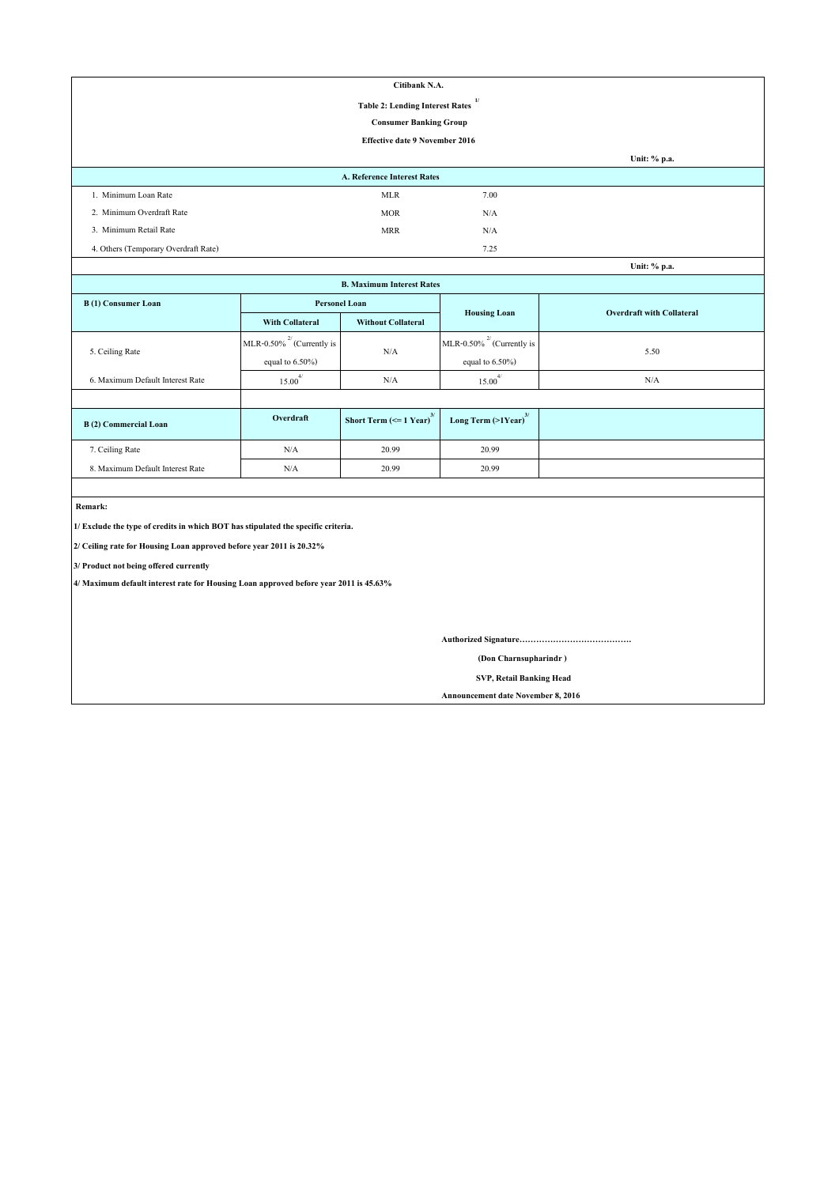|                                              | Citibank N.A.                         |      |              |  |  |
|----------------------------------------------|---------------------------------------|------|--------------|--|--|
| 1/<br><b>Table 2: Lending Interest Rates</b> |                                       |      |              |  |  |
|                                              | <b>Consumer Banking Group</b>         |      |              |  |  |
|                                              | <b>Effective date 9 November 2016</b> |      |              |  |  |
|                                              |                                       |      | Unit: % p.a. |  |  |
|                                              | <b>A. Reference Interest Rates</b>    |      |              |  |  |
| 1. Minimum Loan Rate                         | <b>MLR</b>                            | 7.00 |              |  |  |
| 2. Minimum Overdraft Rate                    | <b>MOR</b>                            | N/A  |              |  |  |
| 3. Minimum Retail Rate                       | <b>MRR</b>                            | N/A  |              |  |  |
| 4. Others (Temporary Overdraft Rate)         |                                       | 7.25 |              |  |  |

| Unit: % p.a.                     |                                 |                                               |                                     |                                  |  |  |
|----------------------------------|---------------------------------|-----------------------------------------------|-------------------------------------|----------------------------------|--|--|
| <b>B. Maximum Interest Rates</b> |                                 |                                               |                                     |                                  |  |  |
| <b>B</b> (1) Consumer Loan       | <b>Personel Loan</b>            |                                               |                                     | <b>Overdraft with Collateral</b> |  |  |
|                                  | <b>With Collateral</b>          | <b>Without Collateral</b>                     | <b>Housing Loan</b>                 |                                  |  |  |
|                                  | MLR-0.50% $^{27}$ (Currently is |                                               | MLR-0.50% $^{27}$ (Currently is     |                                  |  |  |
| 5. Ceiling Rate                  | equal to $6.50\%$ )             | N/A                                           | equal to $6.50\%$ )                 | 5.50                             |  |  |
| 6. Maximum Default Interest Rate | $15.00^{4/}$                    | N/A                                           | $15.00^{4/}$                        | N/A                              |  |  |
|                                  |                                 |                                               |                                     |                                  |  |  |
| <b>B</b> (2) Commercial Loan     | Overdraft                       | Short Term $\left(\leq 1$ Year) <sup>3/</sup> | Long Term $(>1$ Year) <sup>3/</sup> |                                  |  |  |
| 7. Ceiling Rate                  | N/A                             | 20.99                                         | 20.99                               |                                  |  |  |
| 8. Maximum Default Interest Rate | N/A                             | 20.99                                         | 20.99                               |                                  |  |  |

 **Remark:**

**1/ Exclude the type of credits in which BOT has stipulated the specific criteria.**

**2/ Ceiling rate for Housing Loan approved before year 2011 is 20.32%**

**3/ Product not being offered currently**

**4/ Maximum default interest rate for Housing Loan approved before year 2011 is 45.63%**

**Authorized Signature………………………………….**

 **(Don Charnsupharindr )**

 **SVP, Retail Banking Head**

**Announcement date November 8, 2016**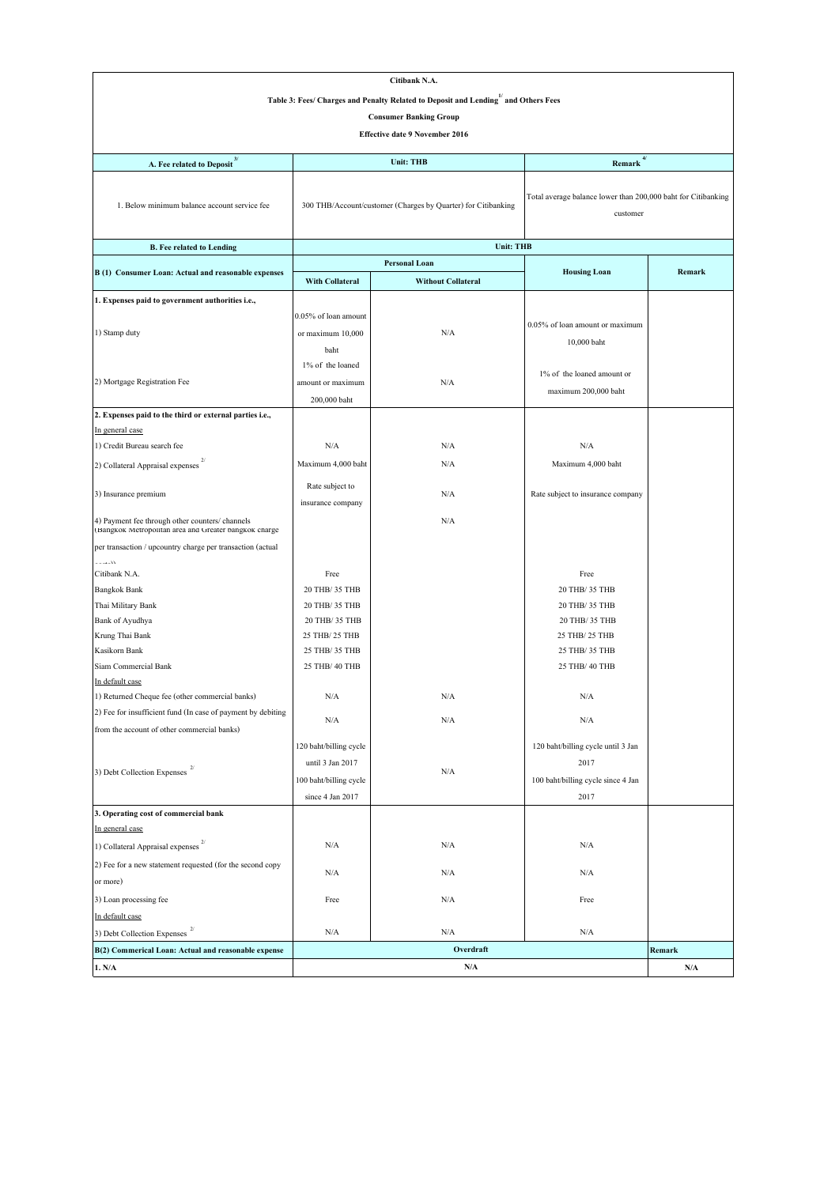| Citibank N.A.                                                                                            |                                                               |                           |                                                                           |        |  |  |
|----------------------------------------------------------------------------------------------------------|---------------------------------------------------------------|---------------------------|---------------------------------------------------------------------------|--------|--|--|
| Table 3: Fees/ Charges and Penalty Related to Deposit and Lending and Others Fees                        |                                                               |                           |                                                                           |        |  |  |
| <b>Consumer Banking Group</b>                                                                            |                                                               |                           |                                                                           |        |  |  |
| <b>Effective date 9 November 2016</b>                                                                    |                                                               |                           |                                                                           |        |  |  |
|                                                                                                          |                                                               |                           |                                                                           |        |  |  |
| A. Fee related to Deposit $^{\mbox{\scriptsize 3}}$                                                      | 4/<br><b>Unit: THB</b><br>Remark                              |                           |                                                                           |        |  |  |
| 1. Below minimum balance account service fee                                                             | 300 THB/Account/customer (Charges by Quarter) for Citibanking |                           | Total average balance lower than 200,000 baht for Citibanking<br>customer |        |  |  |
| <b>B.</b> Fee related to Lending                                                                         |                                                               | <b>Unit: THB</b>          |                                                                           |        |  |  |
|                                                                                                          |                                                               | Personal Loan             |                                                                           |        |  |  |
| B (1) Consumer Loan: Actual and reasonable expenses                                                      | <b>With Collateral</b>                                        | <b>Without Collateral</b> | <b>Housing Loan</b>                                                       | Remark |  |  |
| 1. Expenses paid to government authorities i.e.,                                                         |                                                               |                           |                                                                           |        |  |  |
|                                                                                                          | 0.05% of loan amount                                          |                           |                                                                           |        |  |  |
| 1) Stamp duty                                                                                            | or maximum 10,000                                             | N/A                       | 0.05% of loan amount or maximum                                           |        |  |  |
|                                                                                                          | baht                                                          |                           | 10,000 baht                                                               |        |  |  |
|                                                                                                          | 1% of the loaned                                              |                           |                                                                           |        |  |  |
| 2) Mortgage Registration Fee                                                                             | amount or maximum                                             | N/A                       | 1% of the loaned amount or                                                |        |  |  |
|                                                                                                          | 200,000 baht                                                  |                           | maximum 200,000 baht                                                      |        |  |  |
| 2. Expenses paid to the third or external parties i.e.,                                                  |                                                               |                           |                                                                           |        |  |  |
| In general case                                                                                          |                                                               |                           |                                                                           |        |  |  |
| 1) Credit Bureau search fee                                                                              | N/A                                                           | N/A                       | N/A                                                                       |        |  |  |
| 2) Collateral Appraisal expenses                                                                         | Maximum 4,000 baht                                            | N/A                       | Maximum 4,000 baht                                                        |        |  |  |
| 3) Insurance premium                                                                                     | Rate subject to<br>insurance company                          | N/A                       | Rate subject to insurance company                                         |        |  |  |
| 4) Payment fee through other counters/ channels<br>(Bangkok Metropolitan area and Greater bangkok charge |                                                               | N/A                       |                                                                           |        |  |  |
| per transaction / upcountry charge per transaction (actual                                               |                                                               |                           |                                                                           |        |  |  |
| أأمعمد<br>Citibank N.A.                                                                                  | Free                                                          |                           | Free                                                                      |        |  |  |
| <b>Bangkok Bank</b>                                                                                      | 20 THB/ 35 THB                                                |                           | 20 THB/ 35 THB                                                            |        |  |  |
| Thai Military Bank                                                                                       | 20 THB/ 35 THB                                                |                           | 20 THB/ 35 THB                                                            |        |  |  |
| Bank of Ayudhya                                                                                          | 20 THB/ 35 THB                                                |                           | 20 THB/ 35 THB                                                            |        |  |  |
| Krung Thai Bank                                                                                          | 25 THB/ 25 THB                                                |                           | 25 THB/ 25 THB                                                            |        |  |  |
| Kasikorn Bank                                                                                            | 25 THB/ 35 THB                                                |                           | 25 THB/ 35 THB                                                            |        |  |  |
| Siam Commercial Bank                                                                                     | 25 THB/ 40 THB                                                |                           | 25 THB/ 40 THB                                                            |        |  |  |
| In default case                                                                                          |                                                               |                           |                                                                           |        |  |  |
| 1) Returned Cheque fee (other commercial banks)                                                          | N/A                                                           | N/A                       | N/A                                                                       |        |  |  |
| 2) Fee for insufficient fund (In case of payment by debiting                                             | N/A                                                           | N/A                       | N/A                                                                       |        |  |  |
| from the account of other commercial banks)                                                              | 120 baht/billing cycle                                        |                           | 120 baht/billing cycle until 3 Jan                                        |        |  |  |
|                                                                                                          | until 3 Jan 2017                                              |                           | 2017                                                                      |        |  |  |
| 3) Debt Collection Expenses $2/$                                                                         | 100 baht/billing cycle                                        | N/A                       | 100 baht/billing cycle since 4 Jan                                        |        |  |  |
|                                                                                                          | since 4 Jan 2017                                              |                           | 2017                                                                      |        |  |  |
| 3. Operating cost of commercial bank                                                                     |                                                               |                           |                                                                           |        |  |  |
| In general case                                                                                          |                                                               |                           |                                                                           |        |  |  |
| 1) Collateral Appraisal expenses                                                                         | N/A                                                           | N/A                       | N/A                                                                       |        |  |  |
| 2) Fee for a new statement requested (for the second copy                                                |                                                               |                           |                                                                           |        |  |  |
| or more)                                                                                                 | N/A                                                           | N/A                       | N/A                                                                       |        |  |  |
| 3) Loan processing fee                                                                                   | Free                                                          | N/A                       | Free                                                                      |        |  |  |
| In default case                                                                                          |                                                               |                           |                                                                           |        |  |  |
| 3) Debt Collection Expenses                                                                              | N/A                                                           | N/A                       | N/A                                                                       |        |  |  |
| B(2) Commerical Loan: Actual and reasonable expense                                                      |                                                               | Overdraft                 |                                                                           | Remark |  |  |
| 1. N/A                                                                                                   |                                                               | N/A                       |                                                                           | N/A    |  |  |